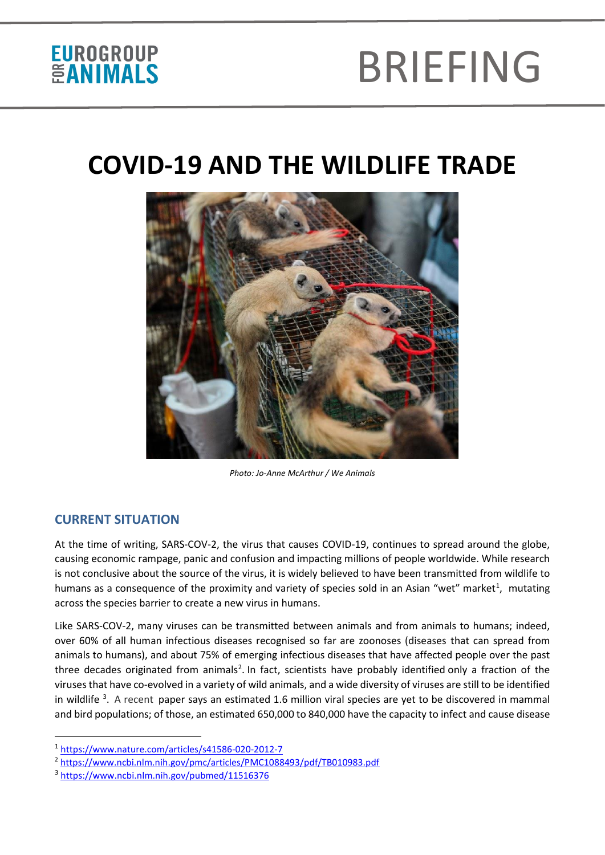# BRIEFING

### **COVID-19 AND THE WILDLIFE TRADE**



*Photo: Jo-Anne McArthur / We Animals*

#### **CURRENT SITUATION**

At the time of writing, SARS-COV-2, the virus that causes COVID-19, continues to spread around the globe, causing economic rampage, panic and confusion and impacting millions of people worldwide. While research is not conclusive about the source of the virus, it is widely believed to have been transmitted from wildlife to humans as a consequence of the proximity and variety of species sold in an Asian "wet" market<sup>[1](#page-0-0)</sup>, mutating across the species barrier to create a new virus in humans.

Like SARS-COV-2, many viruses can be transmitted between animals and from animals to humans; indeed, over 60% of all human infectious diseases recognised so far are zoonoses (diseases that can spread from animals to humans), and about 75% of emerging infectious diseases that have affected people over the past three decades originated from animals<sup>[2](#page-0-1)</sup>. In fact, scientists have probably identified only a fraction of the viruses that have co-evolved in a variety of wild animals, and a wide diversity of viruses are still to be identified in wildlife <sup>[3](#page-0-2)</sup>. A recent paper says an estimated 1.6 million viral species are yet to be discovered in mammal and bird populations; of those, an estimated 650,000 to 840,000 have the capacity to infect and cause disease

<span id="page-0-0"></span><sup>1</sup> <https://www.nature.com/articles/s41586-020-2012-7>

<span id="page-0-1"></span><sup>2</sup> <https://www.ncbi.nlm.nih.gov/pmc/articles/PMC1088493/pdf/TB010983.pdf>

<span id="page-0-2"></span><sup>3</sup> <https://www.ncbi.nlm.nih.gov/pubmed/11516376>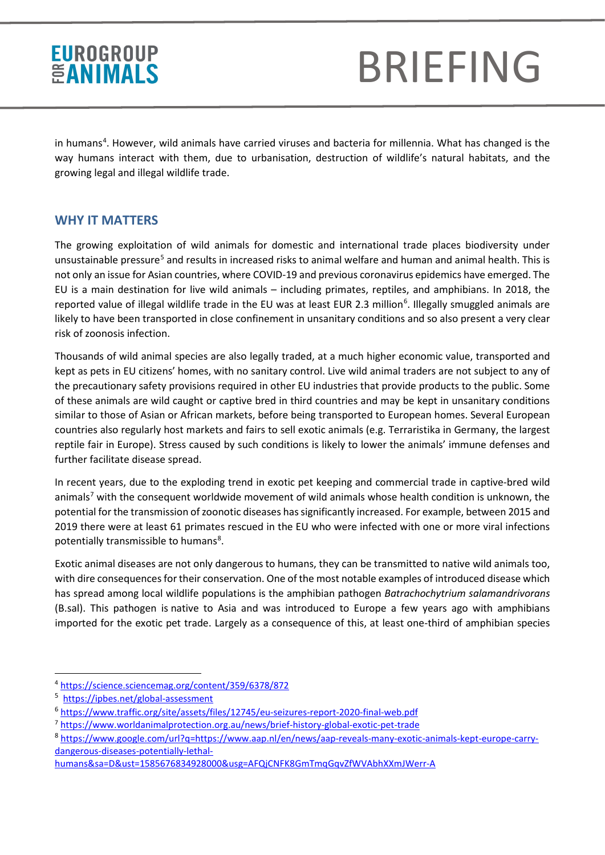# BRIEFING

in humans<sup>[4](#page-1-0)</sup>. However, wild animals have carried viruses and bacteria for millennia. What has changed is the way humans interact with them, due to urbanisation, destruction of wildlife's natural habitats, and the growing legal and illegal wildlife trade.

#### **WHY IT MATTERS**

The growing exploitation of wild animals for domestic and international trade places biodiversity under unsustainable pressure<sup>[5](#page-1-1)</sup> and results in increased risks to animal welfare and human and animal health. This is not only an issue for Asian countries, where COVID-19 and previous coronavirus epidemics have emerged. The EU is a main destination for live wild animals – including primates, reptiles, and amphibians. In 2018, the reported value of illegal wildlife trade in the EU was at least EUR 2.3 million<sup>[6](#page-1-2)</sup>. Illegally smuggled animals are likely to have been transported in close confinement in unsanitary conditions and so also present a very clear risk of zoonosis infection.

Thousands of wild animal species are also legally traded, at a much higher economic value, transported and kept as pets in EU citizens' homes, with no sanitary control. Live wild animal traders are not subject to any of the precautionary safety provisions required in other EU industries that provide products to the public. Some of these animals are wild caught or captive bred in third countries and may be kept in unsanitary conditions similar to those of Asian or African markets, before being transported to European homes. Several European countries also regularly host markets and fairs to sell exotic animals (e.g. Terraristika in Germany, the largest reptile fair in Europe). Stress caused by such conditions is likely to lower the animals' immune defenses and further facilitate disease spread.

In recent years, due to the exploding trend in exotic pet keeping and commercial trade in captive-bred wild animals<sup>[7](#page-1-3)</sup> with the consequent worldwide movement of wild animals whose health condition is unknown, the potential for the transmission of zoonotic diseases has significantly increased. For example, between 2015 and 2019 there were at least 61 primates rescued in the EU who were infected with one or more viral infections potentially transmissible to humans<sup>[8](#page-1-4)</sup>.

Exotic animal diseases are not only dangerous to humans, they can be transmitted to native wild animals too, with dire consequences for their conservation. One of the most notable examples of introduced disease which has spread among local wildlife populations is the amphibian pathogen *Batrachochytrium salamandrivorans* (B.sal). This pathogen is native to Asia and was introduced to Europe a few years ago with amphibians imported for the exotic pet trade. Largely as a consequence of this, at least one-third of amphibian species

<span id="page-1-0"></span><sup>4</sup> <https://science.sciencemag.org/content/359/6378/872>

<span id="page-1-1"></span><sup>&</sup>lt;sup>5</sup> <https://ipbes.net/global-assessment>

<span id="page-1-2"></span><sup>6</sup> <https://www.traffic.org/site/assets/files/12745/eu-seizures-report-2020-final-web.pdf>

<span id="page-1-3"></span><sup>7</sup> <https://www.worldanimalprotection.org.au/news/brief-history-global-exotic-pet-trade>

<span id="page-1-4"></span><sup>8</sup> [https://www.google.com/url?q=https://www.aap.nl/en/news/aap-reveals-many-exotic-animals-kept-europe-carry](https://www.aap.nl/en/news/aap-reveals-many-exotic-animals-kept-europe-carry-dangerous-diseases-potentially-lethal-humans)[dangerous-diseases-potentially-lethal-](https://www.aap.nl/en/news/aap-reveals-many-exotic-animals-kept-europe-carry-dangerous-diseases-potentially-lethal-humans)

[humans&sa=D&ust=1585676834928000&usg=AFQjCNFK8GmTmqGqvZfWVAbhXXmJWerr-A](https://www.aap.nl/en/news/aap-reveals-many-exotic-animals-kept-europe-carry-dangerous-diseases-potentially-lethal-humans)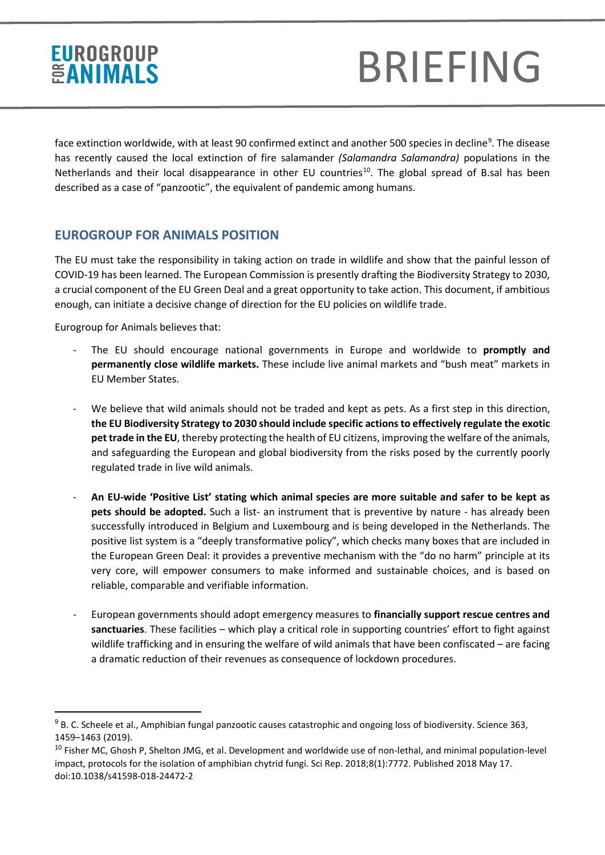# BRIEFING

face extinction worldwide, with at least 90 confirmed extinct and another 500 species in decline<sup>9</sup>. The disease has recently caused the local extinction of fire salamander *(Salamandra Salamandra)* populations in the Netherlands and their local disappearance in other EU countries<sup>10</sup>. The global spread of B.sal has been described as a case of "panzootic", the equivalent of pandemic among humans.

#### **EUROGROUP FOR ANIMALS POSITION**

The EU must take the responsibility in taking action on trade in wildlife and show that the painful lesson of COVID-19 has been learned. The European Commission is presently drafting the Biodiversity Strategy to 2030, a crucial component of the EU Green Deal and a great opportunity to take action. This document, if ambitious enough, can initiate a decisive change of direction for the EU policies on wildlife trade.

Eurogroup for Animals believes that:

- The EU should encourage national governments in Europe and worldwide to **promptly and permanently close wildlife markets.** These include live animal markets and "bush meat" markets in EU Member States.
- We believe that wild animals should not be traded and kept as pets. As a first step in this direction, **the EU Biodiversity Strategy to 2030 should include specific actions to effectively regulate the exotic pet trade in the EU**, thereby protecting the health of EU citizens, improving the welfare of the animals, and safeguarding the European and global biodiversity from the risks posed by the currently poorly regulated trade in live wild animals.
- **An EU-wide 'Positive List' stating which animal species are more suitable and safer to be kept as pets should be adopted.** Such a list- an instrument that is preventive by nature - has already been successfully introduced in Belgium and Luxembourg and is being developed in the Netherlands. The positive list system is a "deeply transformative policy", which checks many boxes that are included in the European Green Deal: it provides a preventive mechanism with the "do no harm" principle at its very core, will empower consumers to make informed and sustainable choices, and is based on reliable, comparable and verifiable information.
- European governments should adopt emergency measures to **financially support rescue centres and sanctuaries**. These facilities – which play a critical role in supporting countries' effort to fight against wildlife trafficking and in ensuring the welfare of wild animals that have been confiscated – are facing a dramatic reduction of their revenues as consequence of lockdown procedures.

<span id="page-2-0"></span><sup>&</sup>lt;sup>9</sup> B. C. Scheele et al., Amphibian fungal panzootic causes catastrophic and ongoing loss of biodiversity. Science 363, 1459–1463 (2019).

<span id="page-2-1"></span><sup>&</sup>lt;sup>10</sup> Fisher MC, Ghosh P, Shelton JMG, et al. Development and worldwide use of non-lethal, and minimal population-level impact, protocols for the isolation of amphibian chytrid fungi. Sci Rep. 2018;8(1):7772. Published 2018 May 17. doi:10.1038/s41598-018-24472-2